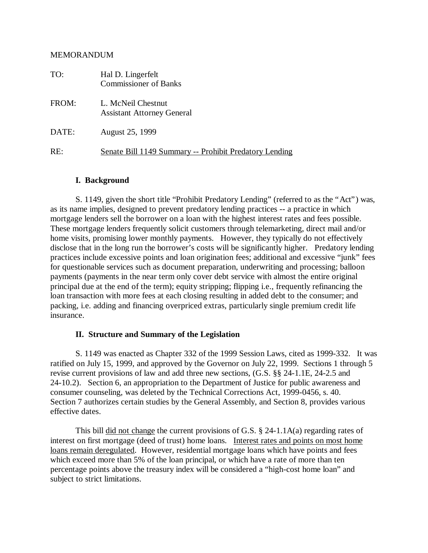#### MEMORANDUM

| TO:   | Hal D. Lingerfelt<br><b>Commissioner of Banks</b>       |
|-------|---------------------------------------------------------|
| FROM: | L. McNeil Chestnut<br><b>Assistant Attorney General</b> |
| DATE: | August 25, 1999                                         |
| RE:   | Senate Bill 1149 Summary -- Prohibit Predatory Lending  |

#### **I. Background**

S. 1149, given the short title "Prohibit Predatory Lending" (referred to as the "Act") was, as its name implies, designed to prevent predatory lending practices -- a practice in which mortgage lenders sell the borrower on a loan with the highest interest rates and fees possible. These mortgage lenders frequently solicit customers through telemarketing, direct mail and/or home visits, promising lower monthly payments. However, they typically do not effectively disclose that in the long run the borrower's costs will be significantly higher. Predatory lending practices include excessive points and loan origination fees; additional and excessive "junk" fees for questionable services such as document preparation, underwriting and processing; balloon payments (payments in the near term only cover debt service with almost the entire original principal due at the end of the term); equity stripping; flipping i.e., frequently refinancing the loan transaction with more fees at each closing resulting in added debt to the consumer; and packing, i.e. adding and financing overpriced extras, particularly single premium credit life insurance.

#### **II. Structure and Summary of the Legislation**

S. 1149 was enacted as Chapter 332 of the 1999 Session Laws, cited as 1999-332. It was ratified on July 15, 1999, and approved by the Governor on July 22, 1999. Sections 1 through 5 revise current provisions of law and add three new sections, (G.S. §§ 24-1.1E, 24-2.5 and 24-10.2). Section 6, an appropriation to the Department of Justice for public awareness and consumer counseling, was deleted by the Technical Corrections Act, 1999-0456, s. 40. Section 7 authorizes certain studies by the General Assembly, and Section 8, provides various effective dates.

This bill did not change the current provisions of G.S.  $\S$  24-1.1A(a) regarding rates of interest on first mortgage (deed of trust) home loans. Interest rates and points on most home loans remain deregulated. However, residential mortgage loans which have points and fees which exceed more than 5% of the loan principal, or which have a rate of more than ten percentage points above the treasury index will be considered a "high-cost home loan" and subject to strict limitations.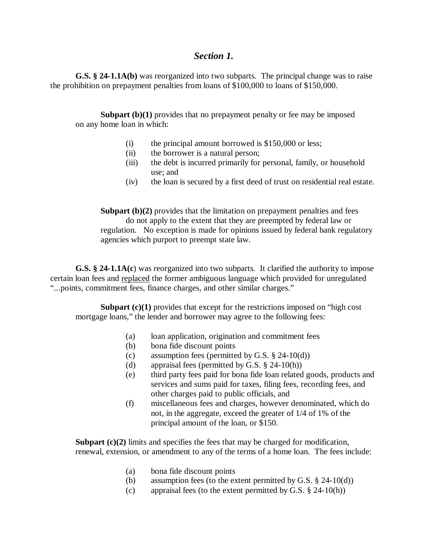## *Section 1.*

**G.S. § 24-1.1A(b)** was reorganized into two subparts. The principal change was to raise the prohibition on prepayment penalties from loans of \$100,000 to loans of \$150,000.

**Subpart (b)(1)** provides that no prepayment penalty or fee may be imposed on any home loan in which:

- (i) the principal amount borrowed is \$150,000 or less;
- (ii) the borrower is a natural person;
- (iii) the debt is incurred primarily for personal, family, or household use; and
- (iv) the loan is secured by a first deed of trust on residential real estate.

**Subpart (b)(2)** provides that the limitation on prepayment penalties and fees do not apply to the extent that they are preempted by federal law or regulation. No exception is made for opinions issued by federal bank regulatory agencies which purport to preempt state law.

**G.S. § 24-1.1A(c**) was reorganized into two subparts. It clarified the authority to impose certain loan fees and replaced the former ambiguous language which provided for unregulated "...points, commitment fees, finance charges, and other similar charges."

**Subpart (c)(1)** provides that except for the restrictions imposed on "high cost" mortgage loans," the lender and borrower may agree to the following fees:

- (a) loan application, origination and commitment fees
- (b) bona fide discount points
- (c) assumption fees (permitted by G.S.  $\S$  24-10(d))
- (d) appraisal fees (permitted by G.S. § 24-10(h))
- (e) third party fees paid for bona fide loan related goods, products and services and sums paid for taxes, filing fees, recording fees, and other charges paid to public officials, and
- (f) miscellaneous fees and charges, however denominated, which do not, in the aggregate, exceed the greater of 1/4 of 1% of the principal amount of the loan, or \$150.

**Subpart (c)(2)** limits and specifies the fees that may be charged for modification, renewal, extension, or amendment to any of the terms of a home loan. The fees include:

- (a) bona fide discount points
- (b) assumption fees (to the extent permitted by G.S.  $\S$  24-10(d))
- (c) appraisal fees (to the extent permitted by G.S.  $\S$  24-10(h))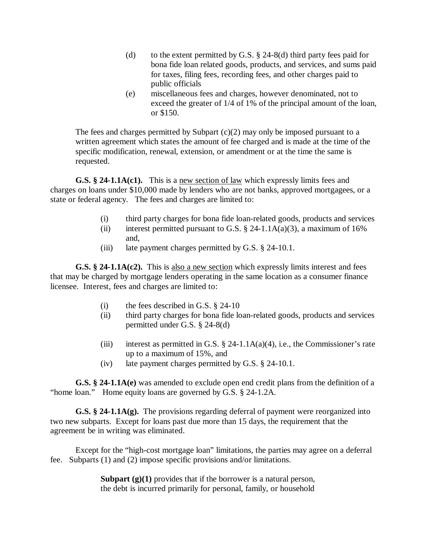- (d) to the extent permitted by G.S.  $\S$  24-8(d) third party fees paid for bona fide loan related goods, products, and services, and sums paid for taxes, filing fees, recording fees, and other charges paid to public officials
- (e) miscellaneous fees and charges, however denominated, not to exceed the greater of 1/4 of 1% of the principal amount of the loan, or \$150.

The fees and charges permitted by Subpart  $(c)(2)$  may only be imposed pursuant to a written agreement which states the amount of fee charged and is made at the time of the specific modification, renewal, extension, or amendment or at the time the same is requested.

**G.S. § 24-1.1A(c1).** This is a new section of law which expressly limits fees and charges on loans under \$10,000 made by lenders who are not banks, approved mortgagees, or a state or federal agency. The fees and charges are limited to:

- (i) third party charges for bona fide loan-related goods, products and services
- (ii) interest permitted pursuant to G.S.  $\S$  24-1.1A(a)(3), a maximum of 16% and,
- (iii) late payment charges permitted by G.S. § 24-10.1.

**G.S. § 24-1.1A(c2).** This is also a new section which expressly limits interest and fees that may be charged by mortgage lenders operating in the same location as a consumer finance licensee. Interest, fees and charges are limited to:

- (i) the fees described in G.S.  $\S$  24-10
- (ii) third party charges for bona fide loan-related goods, products and services permitted under G.S. § 24-8(d)
- (iii) interest as permitted in G.S.  $\S$  24-1.1A(a)(4), i.e., the Commissioner's rate up to a maximum of 15%, and
- (iv) late payment charges permitted by G.S. § 24-10.1.

**G.S. § 24-1.1A(e)** was amended to exclude open end credit plans from the definition of a "home loan." Home equity loans are governed by G.S. § 24-1.2A.

**G.S. § 24-1.1A(g).** The provisions regarding deferral of payment were reorganized into two new subparts. Except for loans past due more than 15 days, the requirement that the agreement be in writing was eliminated.

Except for the "high-cost mortgage loan" limitations, the parties may agree on a deferral fee. Subparts (1) and (2) impose specific provisions and/or limitations.

> **Subpart (g)(1)** provides that if the borrower is a natural person, the debt is incurred primarily for personal, family, or household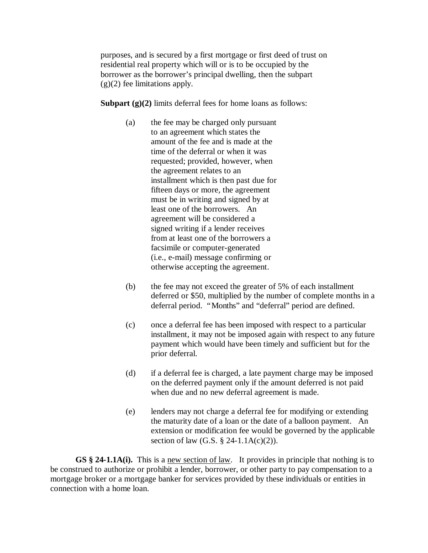purposes, and is secured by a first mortgage or first deed of trust on residential real property which will or is to be occupied by the borrower as the borrower's principal dwelling, then the subpart  $(g)(2)$  fee limitations apply.

**Subpart (g)(2)** limits deferral fees for home loans as follows:

- (a) the fee may be charged only pursuant to an agreement which states the amount of the fee and is made at the time of the deferral or when it was requested; provided, however, when the agreement relates to an installment which is then past due for fifteen days or more, the agreement must be in writing and signed by at least one of the borrowers. An agreement will be considered a signed writing if a lender receives from at least one of the borrowers a facsimile or computer-generated (i.e., e-mail) message confirming or otherwise accepting the agreement.
- (b) the fee may not exceed the greater of 5% of each installment deferred or \$50, multiplied by the number of complete months in a deferral period. "Months" and "deferral" period are defined.
- (c) once a deferral fee has been imposed with respect to a particular installment, it may not be imposed again with respect to any future payment which would have been timely and sufficient but for the prior deferral.
- (d) if a deferral fee is charged, a late payment charge may be imposed on the deferred payment only if the amount deferred is not paid when due and no new deferral agreement is made.
- (e) lenders may not charge a deferral fee for modifying or extending the maturity date of a loan or the date of a balloon payment. An extension or modification fee would be governed by the applicable section of law (G.S.  $\S$  24-1.1A(c)(2)).

**GS § 24-1.1A(i).** This is a new section of law. It provides in principle that nothing is to be construed to authorize or prohibit a lender, borrower, or other party to pay compensation to a mortgage broker or a mortgage banker for services provided by these individuals or entities in connection with a home loan.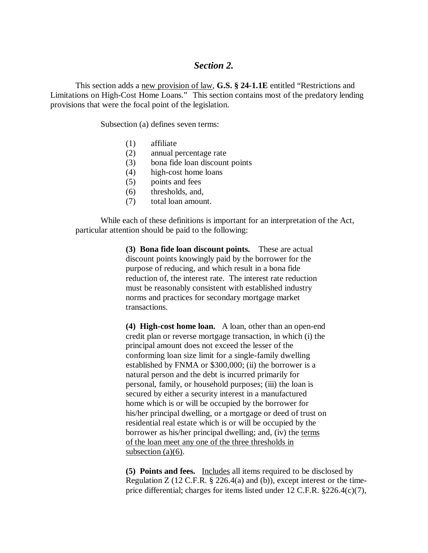## *Section 2.*

This section adds a new provision of law, **G.S. § 24-1.1E** entitled "Restrictions and Limitations on High-Cost Home Loans." This section contains most of the predatory lending provisions that were the focal point of the legislation.

Subsection (a) defines seven terms:

- (1) affiliate
- (2) annual percentage rate
- (3) bona fide loan discount points
- (4) high-cost home loans
- (5) points and fees
- (6) thresholds, and,
- (7) total loan amount.

While each of these definitions is important for an interpretation of the Act, particular attention should be paid to the following:

> **(3) Bona fide loan discount points.** These are actual discount points knowingly paid by the borrower for the purpose of reducing, and which result in a bona fide reduction of, the interest rate. The interest rate reduction must be reasonably consistent with established industry norms and practices for secondary mortgage market transactions.

**(4) High-cost home loan.** A loan, other than an open-end credit plan or reverse mortgage transaction, in which (i) the principal amount does not exceed the lesser of the conforming loan size limit for a single-family dwelling established by FNMA or \$300,000; (ii) the borrower is a natural person and the debt is incurred primarily for personal, family, or household purposes; (iii) the loan is secured by either a security interest in a manufactured home which is or will be occupied by the borrower for his/her principal dwelling, or a mortgage or deed of trust on residential real estate which is or will be occupied by the borrower as his/her principal dwelling; and, (iv) the terms of the loan meet any one of the three thresholds in subsection (a)(6).

**(5) Points and fees.** Includes all items required to be disclosed by Regulation Z (12 C.F.R.  $\S$  226.4(a) and (b)), except interest or the timeprice differential; charges for items listed under 12 C.F.R. §226.4(c)(7),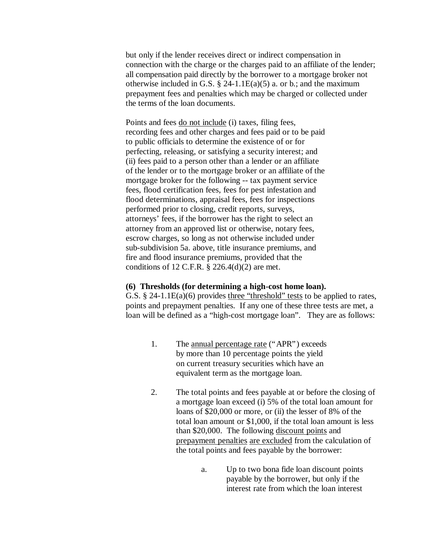but only if the lender receives direct or indirect compensation in connection with the charge or the charges paid to an affiliate of the lender; all compensation paid directly by the borrower to a mortgage broker not otherwise included in G.S.  $\S$  24-1.1E(a)(5) a. or b.; and the maximum prepayment fees and penalties which may be charged or collected under the terms of the loan documents.

Points and fees do not include (i) taxes, filing fees, recording fees and other charges and fees paid or to be paid to public officials to determine the existence of or for perfecting, releasing, or satisfying a security interest; and (ii) fees paid to a person other than a lender or an affiliate of the lender or to the mortgage broker or an affiliate of the mortgage broker for the following -- tax payment service fees, flood certification fees, fees for pest infestation and flood determinations, appraisal fees, fees for inspections performed prior to closing, credit reports, surveys, attorneys' fees, if the borrower has the right to select an attorney from an approved list or otherwise, notary fees, escrow charges, so long as not otherwise included under sub-subdivision 5a. above, title insurance premiums, and fire and flood insurance premiums, provided that the conditions of 12 C.F.R.  $\S$  226.4(d)(2) are met.

#### **(6) Thresholds (for determining a high-cost home loan).**

G.S. § 24-1.1E(a)(6) provides three "threshold" tests to be applied to rates, points and prepayment penalties. If any one of these three tests are met, a loan will be defined as a "high-cost mortgage loan". They are as follows:

- 1. The annual percentage rate ("APR") exceeds by more than 10 percentage points the yield on current treasury securities which have an equivalent term as the mortgage loan.
- 2. The total points and fees payable at or before the closing of a mortgage loan exceed (i) 5% of the total loan amount for loans of \$20,000 or more, or (ii) the lesser of 8% of the total loan amount or \$1,000, if the total loan amount is less than \$20,000. The following discount points and prepayment penalties are excluded from the calculation of the total points and fees payable by the borrower:
	- a. Up to two bona fide loan discount points payable by the borrower, but only if the interest rate from which the loan interest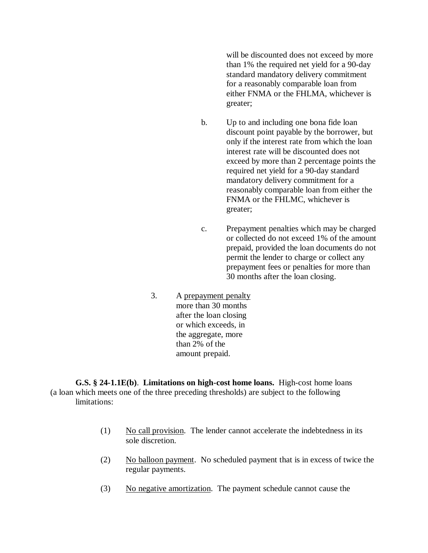will be discounted does not exceed by more than 1% the required net yield for a 90-day standard mandatory delivery commitment for a reasonably comparable loan from either FNMA or the FHLMA, whichever is greater;

- b. Up to and including one bona fide loan discount point payable by the borrower, but only if the interest rate from which the loan interest rate will be discounted does not exceed by more than 2 percentage points the required net yield for a 90-day standard mandatory delivery commitment for a reasonably comparable loan from either the FNMA or the FHLMC, whichever is greater;
- c. Prepayment penalties which may be charged or collected do not exceed 1% of the amount prepaid, provided the loan documents do not permit the lender to charge or collect any prepayment fees or penalties for more than 30 months after the loan closing.
- 3. A prepayment penalty more than 30 months after the loan closing or which exceeds, in the aggregate, more than 2% of the amount prepaid.

**G.S. § 24-1.1E(b)**. **Limitations on high-cost home loans.** High-cost home loans (a loan which meets one of the three preceding thresholds) are subject to the following limitations:

- (1) No call provision. The lender cannot accelerate the indebtedness in its sole discretion.
- (2) No balloon payment. No scheduled payment that is in excess of twice the regular payments.
- (3) No negative amortization. The payment schedule cannot cause the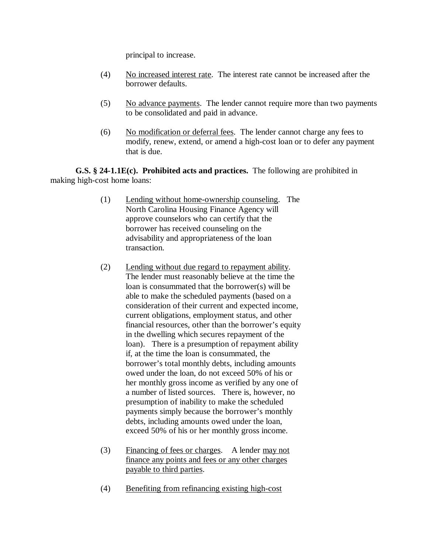principal to increase.

- (4) No increased interest rate. The interest rate cannot be increased after the borrower defaults.
- $(5)$  No advance payments. The lender cannot require more than two payments to be consolidated and paid in advance.
- (6) No modification or deferral fees. The lender cannot charge any fees to modify, renew, extend, or amend a high-cost loan or to defer any payment that is due.

**G.S. § 24-1.1E(c). Prohibited acts and practices.** The following are prohibited in making high-cost home loans:

- (1) Lending without home-ownership counseling. The North Carolina Housing Finance Agency will approve counselors who can certify that the borrower has received counseling on the advisability and appropriateness of the loan transaction.
- (2) Lending without due regard to repayment ability. The lender must reasonably believe at the time the loan is consummated that the borrower(s) will be able to make the scheduled payments (based on a consideration of their current and expected income, current obligations, employment status, and other financial resources, other than the borrower's equity in the dwelling which secures repayment of the loan). There is a presumption of repayment ability if, at the time the loan is consummated, the borrower's total monthly debts, including amounts owed under the loan, do not exceed 50% of his or her monthly gross income as verified by any one of a number of listed sources. There is, however, no presumption of inability to make the scheduled payments simply because the borrower's monthly debts, including amounts owed under the loan, exceed 50% of his or her monthly gross income.
- (3) Financing of fees or charges. A lender may not finance any points and fees or any other charges payable to third parties.
- (4) Benefiting from refinancing existing high-cost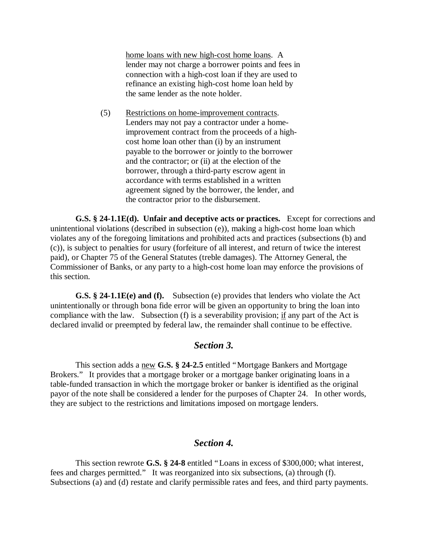home loans with new high-cost home loans. A lender may not charge a borrower points and fees in connection with a high-cost loan if they are used to refinance an existing high-cost home loan held by the same lender as the note holder.

(5) Restrictions on home-improvement contracts. Lenders may not pay a contractor under a homeimprovement contract from the proceeds of a highcost home loan other than (i) by an instrument payable to the borrower or jointly to the borrower and the contractor; or (ii) at the election of the borrower, through a third-party escrow agent in accordance with terms established in a written agreement signed by the borrower, the lender, and the contractor prior to the disbursement.

**G.S. § 24-1.1E(d). Unfair and deceptive acts or practices.** Except for corrections and unintentional violations (described in subsection (e)), making a high-cost home loan which violates any of the foregoing limitations and prohibited acts and practices (subsections (b) and (c)), is subject to penalties for usury (forfeiture of all interest, and return of twice the interest paid), or Chapter 75 of the General Statutes (treble damages). The Attorney General, the Commissioner of Banks, or any party to a high-cost home loan may enforce the provisions of this section.

**G.S. § 24-1.1E(e) and (f).** Subsection (e) provides that lenders who violate the Act unintentionally or through bona fide error will be given an opportunity to bring the loan into compliance with the law. Subsection (f) is a severability provision; if any part of the Act is declared invalid or preempted by federal law, the remainder shall continue to be effective.

### *Section 3.*

This section adds a new **G.S. § 24-2.5** entitled "Mortgage Bankers and Mortgage Brokers." It provides that a mortgage broker or a mortgage banker originating loans in a table-funded transaction in which the mortgage broker or banker is identified as the original payor of the note shall be considered a lender for the purposes of Chapter 24. In other words, they are subject to the restrictions and limitations imposed on mortgage lenders.

## *Section 4.*

This section rewrote **G.S. § 24-8** entitled "Loans in excess of \$300,000; what interest, fees and charges permitted." It was reorganized into six subsections, (a) through (f). Subsections (a) and (d) restate and clarify permissible rates and fees, and third party payments.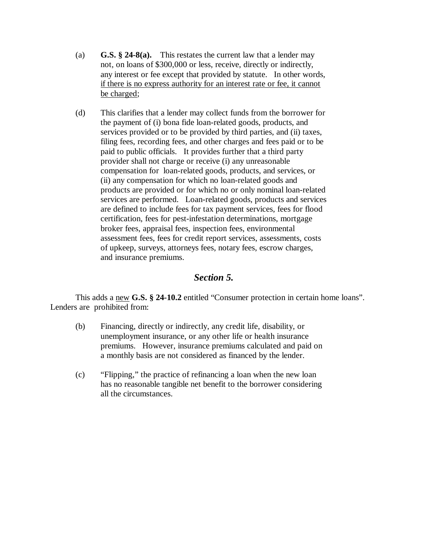- (a) **G.S. § 24-8(a).** This restates the current law that a lender may not, on loans of \$300,000 or less, receive, directly or indirectly, any interest or fee except that provided by statute. In other words, if there is no express authority for an interest rate or fee, it cannot be charged;
- (d) This clarifies that a lender may collect funds from the borrower for the payment of (i) bona fide loan-related goods, products, and services provided or to be provided by third parties, and (ii) taxes, filing fees, recording fees, and other charges and fees paid or to be paid to public officials. It provides further that a third party provider shall not charge or receive (i) any unreasonable compensation for loan-related goods, products, and services, or (ii) any compensation for which no loan-related goods and products are provided or for which no or only nominal loan-related services are performed. Loan-related goods, products and services are defined to include fees for tax payment services, fees for flood certification, fees for pest-infestation determinations, mortgage broker fees, appraisal fees, inspection fees, environmental assessment fees, fees for credit report services, assessments, costs of upkeep, surveys, attorneys fees, notary fees, escrow charges, and insurance premiums.

## *Section 5.*

This adds a new **G.S. § 24-10.2** entitled "Consumer protection in certain home loans". Lenders are prohibited from:

- (b) Financing, directly or indirectly, any credit life, disability, or unemployment insurance, or any other life or health insurance premiums. However, insurance premiums calculated and paid on a monthly basis are not considered as financed by the lender.
- (c) "Flipping," the practice of refinancing a loan when the new loan has no reasonable tangible net benefit to the borrower considering all the circumstances.